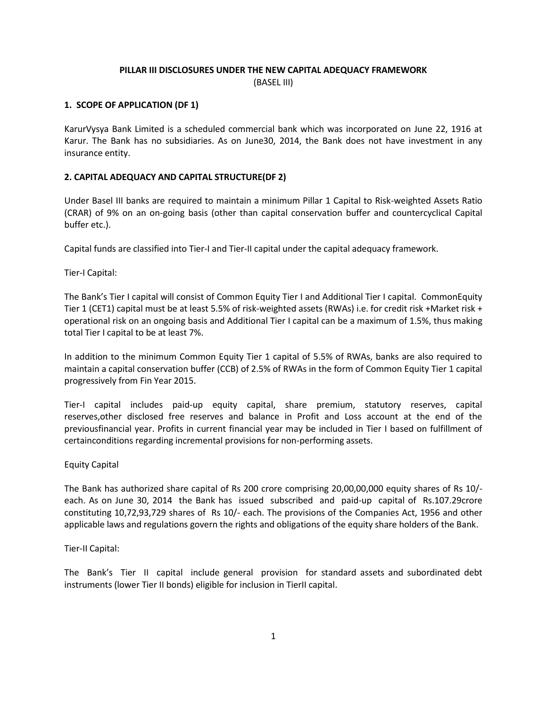# **PILLAR III DISCLOSURES UNDER THE NEW CAPITAL ADEQUACY FRAMEWORK** (BASEL III)

# **1. SCOPE OF APPLICATION (DF 1)**

KarurVysya Bank Limited is a scheduled commercial bank which was incorporated on June 22, 1916 at Karur. The Bank has no subsidiaries. As on June30, 2014, the Bank does not have investment in any insurance entity.

# **2. CAPITAL ADEQUACY AND CAPITAL STRUCTURE(DF 2)**

Under Basel III banks are required to maintain a minimum Pillar 1 Capital to Risk-weighted Assets Ratio (CRAR) of 9% on an on-going basis (other than capital conservation buffer and countercyclical Capital buffer etc.).

Capital funds are classified into Tier-I and Tier-II capital under the capital adequacy framework.

Tier-I Capital:

The Bank's Tier I capital will consist of Common Equity Tier I and Additional Tier I capital. CommonEquity Tier 1 (CET1) capital must be at least 5.5% of risk-weighted assets (RWAs) i.e. for credit risk +Market risk + operational risk on an ongoing basis and Additional Tier I capital can be a maximum of 1.5%, thus making total Tier I capital to be at least 7%.

In addition to the minimum Common Equity Tier 1 capital of 5.5% of RWAs, banks are also required to maintain a capital conservation buffer (CCB) of 2.5% of RWAs in the form of Common Equity Tier 1 capital progressively from Fin Year 2015.

Tier-I capital includes paid-up equity capital, share premium, statutory reserves, capital reserves,other disclosed free reserves and balance in Profit and Loss account at the end of the previousfinancial year. Profits in current financial year may be included in Tier I based on fulfillment of certainconditions regarding incremental provisions for non-performing assets.

# Equity Capital

The Bank has authorized share capital of Rs 200 crore comprising 20,00,00,000 equity shares of Rs 10/ each. As on June 30, 2014 the Bank has issued subscribed and paid-up capital of Rs.107.29crore constituting 10,72,93,729 shares of Rs 10/- each. The provisions of the Companies Act, 1956 and other applicable laws and regulations govern the rights and obligations of the equity share holders of the Bank.

# Tier-II Capital:

The Bank's Tier II capital include general provision for standard assets and subordinated debt instruments (lower Tier II bonds) eligible for inclusion in TierII capital.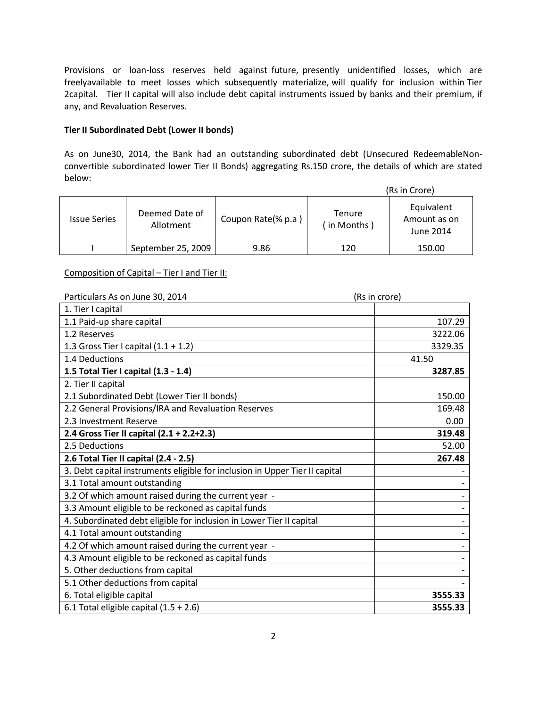Provisions or loan-loss reserves held against future, presently unidentified losses, which are freelyavailable to meet losses which subsequently materialize, will qualify for inclusion within Tier 2capital. Tier II capital will also include debt capital instruments issued by banks and their premium, if any, and Revaluation Reserves.

# **Tier II Subordinated Debt (Lower II bonds)**

As on June30, 2014, the Bank had an outstanding subordinated debt (Unsecured RedeemableNonconvertible subordinated lower Tier II Bonds) aggregating Rs.150 crore, the details of which are stated below:

|                     |                             |                    |                       | (Rs in Crore)                           |
|---------------------|-----------------------------|--------------------|-----------------------|-----------------------------------------|
| <b>Issue Series</b> | Deemed Date of<br>Allotment | Coupon Rate(% p.a) | Tenure<br>(in Months) | Equivalent<br>Amount as on<br>June 2014 |
|                     | September 25, 2009          | 9.86               | 120                   | 150.00                                  |

# Composition of Capital – Tier I and Tier II:

| Particulars As on June 30, 2014                                             | (Rs in crore) |
|-----------------------------------------------------------------------------|---------------|
| 1. Tier I capital                                                           |               |
| 1.1 Paid-up share capital                                                   | 107.29        |
| 1.2 Reserves                                                                | 3222.06       |
| 1.3 Gross Tier I capital $(1.1 + 1.2)$                                      | 3329.35       |
| 1.4 Deductions                                                              | 41.50         |
| 1.5 Total Tier I capital (1.3 - 1.4)                                        | 3287.85       |
| 2. Tier II capital                                                          |               |
| 2.1 Subordinated Debt (Lower Tier II bonds)                                 | 150.00        |
| 2.2 General Provisions/IRA and Revaluation Reserves                         | 169.48        |
| 2.3 Investment Reserve                                                      | 0.00          |
| 2.4 Gross Tier II capital (2.1 + 2.2+2.3)                                   | 319.48        |
| 2.5 Deductions                                                              | 52.00         |
| 2.6 Total Tier II capital (2.4 - 2.5)                                       | 267.48        |
| 3. Debt capital instruments eligible for inclusion in Upper Tier II capital |               |
| 3.1 Total amount outstanding                                                |               |
| 3.2 Of which amount raised during the current year -                        |               |
| 3.3 Amount eligible to be reckoned as capital funds                         |               |
| 4. Subordinated debt eligible for inclusion in Lower Tier II capital        |               |
| 4.1 Total amount outstanding                                                |               |
| 4.2 Of which amount raised during the current year -                        |               |
| 4.3 Amount eligible to be reckoned as capital funds                         |               |
| 5. Other deductions from capital                                            |               |
| 5.1 Other deductions from capital                                           |               |
| 6. Total eligible capital                                                   | 3555.33       |
| 6.1 Total eligible capital $(1.5 + 2.6)$                                    | 3555.33       |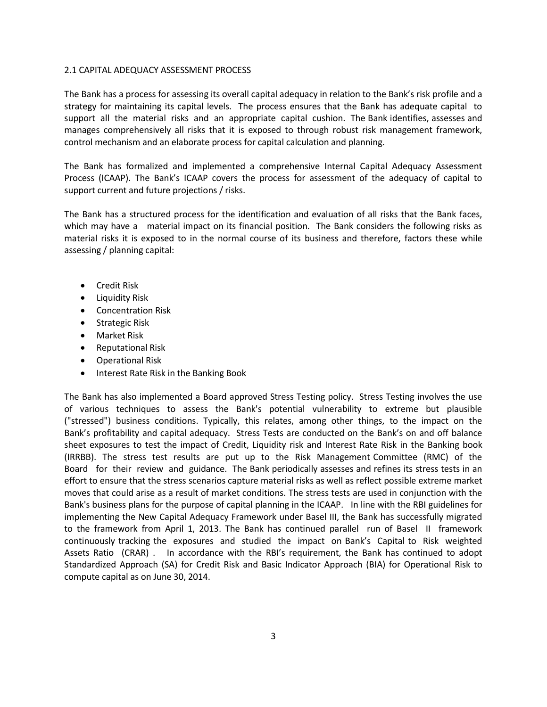# 2.1 CAPITAL ADEQUACY ASSESSMENT PROCESS

The Bank has a process for assessing its overall capital adequacy in relation to the Bank's risk profile and a strategy for maintaining its capital levels. The process ensures that the Bank has adequate capital to support all the material risks and an appropriate capital cushion. The Bank identifies, assesses and manages comprehensively all risks that it is exposed to through robust risk management framework, control mechanism and an elaborate process for capital calculation and planning.

The Bank has formalized and implemented a comprehensive Internal Capital Adequacy Assessment Process (ICAAP). The Bank's ICAAP covers the process for assessment of the adequacy of capital to support current and future projections / risks.

The Bank has a structured process for the identification and evaluation of all risks that the Bank faces, which may have a material impact on its financial position. The Bank considers the following risks as material risks it is exposed to in the normal course of its business and therefore, factors these while assessing / planning capital:

- **•** Credit Risk
- **•** Liquidity Risk
- Concentration Risk
- **•** Strategic Risk
- Market Risk
- **•** Reputational Risk
- Operational Risk
- Interest Rate Risk in the Banking Book

The Bank has also implemented a Board approved Stress Testing policy. Stress Testing involves the use of various techniques to assess the Bank's potential vulnerability to extreme but plausible ("stressed") business conditions. Typically, this relates, among other things, to the impact on the Bank's profitability and capital adequacy. Stress Tests are conducted on the Bank's on and off balance sheet exposures to test the impact of Credit, Liquidity risk and Interest Rate Risk in the Banking book (IRRBB). The stress test results are put up to the Risk Management Committee (RMC) of the Board for their review and guidance. The Bank periodically assesses and refines its stress tests in an effort to ensure that the stress scenarios capture material risks as well as reflect possible extreme market moves that could arise as a result of market conditions. The stress tests are used in conjunction with the Bank's business plans for the purpose of capital planning in the ICAAP. In line with the RBI guidelines for implementing the New Capital Adequacy Framework under Basel III, the Bank has successfully migrated to the framework from April 1, 2013. The Bank has continued parallel run of Basel II framework continuously tracking the exposures and studied the impact on Bank's Capital to Risk weighted Assets Ratio (CRAR) . In accordance with the RBI's requirement, the Bank has continued to adopt Standardized Approach (SA) for Credit Risk and Basic Indicator Approach (BIA) for Operational Risk to compute capital as on June 30, 2014.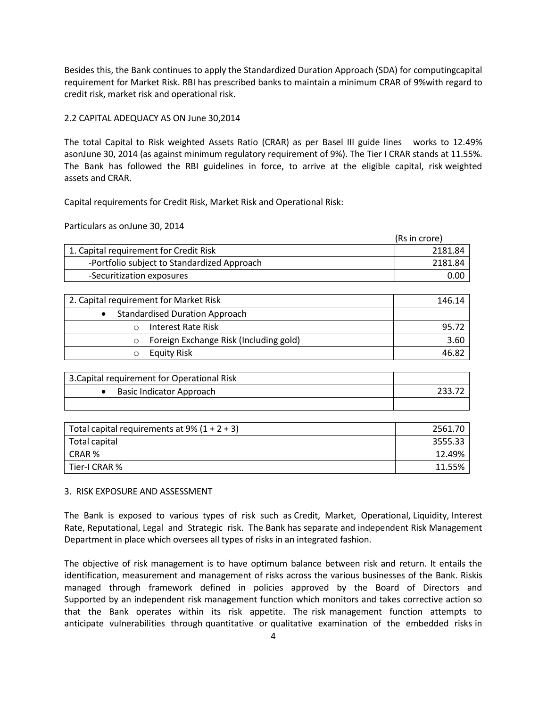Besides this, the Bank continues to apply the Standardized Duration Approach (SDA) for computingcapital requirement for Market Risk. RBI has prescribed banks to maintain a minimum CRAR of 9%with regard to credit risk, market risk and operational risk.

# 2.2 CAPITAL ADEQUACY AS ON June 30,2014

The total Capital to Risk weighted Assets Ratio (CRAR) as per Basel III guide lines works to 12.49% asonJune 30, 2014 (as against minimum regulatory requirement of 9%). The Tier I CRAR stands at 11.55%. The Bank has followed the RBI guidelines in force, to arrive at the eligible capital, risk weighted assets and CRAR.

Capital requirements for Credit Risk, Market Risk and Operational Risk:

Particulars as onJune 30, 2014

|                                             | (Rs in crore) |
|---------------------------------------------|---------------|
| 1. Capital requirement for Credit Risk      | 2181.84       |
| -Portfolio subject to Standardized Approach | 2181.84       |
| -Securitization exposures                   | 0.00          |

| 2. Capital requirement for Market Risk | 146.14 |
|----------------------------------------|--------|
| <b>Standardised Duration Approach</b>  |        |
| Interest Rate Risk                     | 95.72  |
| Foreign Exchange Risk (Including gold) | 3.60   |
| <b>Equity Risk</b>                     | 46.82  |

| 3. Capital requirement for Operational Risk |  |
|---------------------------------------------|--|
| <b>Basic Indicator Approach</b>             |  |
|                                             |  |

| Total capital requirements at 9% $(1 + 2 + 3)$ | 2561.70 |
|------------------------------------------------|---------|
| Total capital                                  | 3555.33 |
| CRAR %                                         | 12.49%  |
| Tier-I CRAR %                                  | 11.55%  |

# 3. RISK EXPOSURE AND ASSESSMENT

The Bank is exposed to various types of risk such as Credit, Market, Operational, Liquidity, Interest Rate, Reputational, Legal and Strategic risk. The Bank has separate and independent Risk Management Department in place which oversees all types of risks in an integrated fashion.

The objective of risk management is to have optimum balance between risk and return. It entails the identification, measurement and management of risks across the various businesses of the Bank. Riskis managed through framework defined in policies approved by the Board of Directors and Supported by an independent risk management function which monitors and takes corrective action so that the Bank operates within its risk appetite. The risk management function attempts to anticipate vulnerabilities through quantitative or qualitative examination of the embedded risks in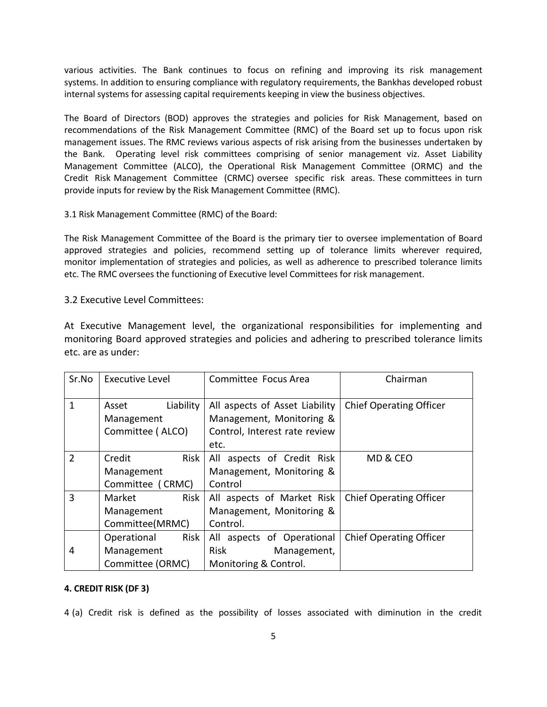various activities. The Bank continues to focus on refining and improving its risk management systems. In addition to ensuring compliance with regulatory requirements, the Bankhas developed robust internal systems for assessing capital requirements keeping in view the business objectives.

The Board of Directors (BOD) approves the strategies and policies for Risk Management, based on recommendations of the Risk Management Committee (RMC) of the Board set up to focus upon risk management issues. The RMC reviews various aspects of risk arising from the businesses undertaken by the Bank. Operating level risk committees comprising of senior management viz. Asset Liability Management Committee (ALCO), the Operational Risk Management Committee (ORMC) and the Credit Risk Management Committee (CRMC) oversee specific risk areas. These committees in turn provide inputs for review by the Risk Management Committee (RMC).

# 3.1 Risk Management Committee (RMC) of the Board:

The Risk Management Committee of the Board is the primary tier to oversee implementation of Board approved strategies and policies, recommend setting up of tolerance limits wherever required, monitor implementation of strategies and policies, as well as adherence to prescribed tolerance limits etc. The RMC oversees the functioning of Executive level Committees for risk management.

# 3.2 Executive Level Committees:

At Executive Management level, the organizational responsibilities for implementing and monitoring Board approved strategies and policies and adhering to prescribed tolerance limits etc. are as under:

| Sr.No | <b>Executive Level</b> | Committee Focus Area           | Chairman                       |  |
|-------|------------------------|--------------------------------|--------------------------------|--|
|       |                        |                                |                                |  |
| 1     | Liability<br>Asset     | All aspects of Asset Liability | <b>Chief Operating Officer</b> |  |
|       | Management             | Management, Monitoring &       |                                |  |
|       | Committee (ALCO)       | Control, Interest rate review  |                                |  |
|       |                        | etc.                           |                                |  |
| 2     | Risk<br>Credit         | All aspects of Credit Risk     | MD & CEO                       |  |
|       | Management             | Management, Monitoring &       |                                |  |
|       | Committee (CRMC)       | Control                        |                                |  |
| 3     | Risk<br>Market         | All aspects of Market Risk     | <b>Chief Operating Officer</b> |  |
|       | Management             | Management, Monitoring &       |                                |  |
|       | Committee(MRMC)        | Control.                       |                                |  |
|       | Risk<br>Operational    | All aspects of Operational     | <b>Chief Operating Officer</b> |  |
| 4     | Management             | Risk<br>Management,            |                                |  |
|       | Committee (ORMC)       | Monitoring & Control.          |                                |  |

# **4. CREDIT RISK (DF 3)**

4 (a) Credit risk is defined as the possibility of losses associated with diminution in the credit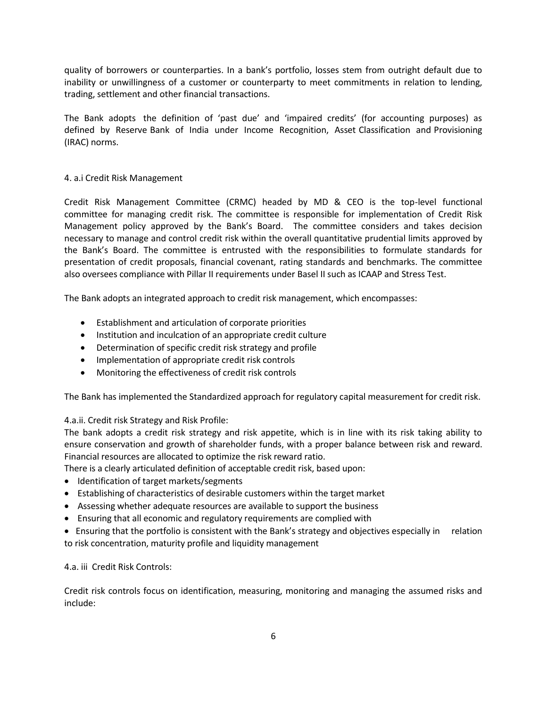quality of borrowers or counterparties. In a bank's portfolio, losses stem from outright default due to inability or unwillingness of a customer or counterparty to meet commitments in relation to lending, trading, settlement and other financial transactions.

The Bank adopts the definition of 'past due' and 'impaired credits' (for accounting purposes) as defined by Reserve Bank of India under Income Recognition, Asset Classification and Provisioning (IRAC) norms.

# 4. a.i Credit Risk Management

Credit Risk Management Committee (CRMC) headed by MD & CEO is the top-level functional committee for managing credit risk. The committee is responsible for implementation of Credit Risk Management policy approved by the Bank's Board. The committee considers and takes decision necessary to manage and control credit risk within the overall quantitative prudential limits approved by the Bank's Board. The committee is entrusted with the responsibilities to formulate standards for presentation of credit proposals, financial covenant, rating standards and benchmarks. The committee also oversees compliance with Pillar II requirements under Basel II such as ICAAP and Stress Test.

The Bank adopts an integrated approach to credit risk management, which encompasses:

- Establishment and articulation of corporate priorities
- Institution and inculcation of an appropriate credit culture
- Determination of specific credit risk strategy and profile
- Implementation of appropriate credit risk controls
- Monitoring the effectiveness of credit risk controls

The Bank has implemented the Standardized approach for regulatory capital measurement for credit risk.

# 4.a.ii. Credit risk Strategy and Risk Profile:

The bank adopts a credit risk strategy and risk appetite, which is in line with its risk taking ability to ensure conservation and growth of shareholder funds, with a proper balance between risk and reward. Financial resources are allocated to optimize the risk reward ratio.

There is a clearly articulated definition of acceptable credit risk, based upon:

- Identification of target markets/segments
- Establishing of characteristics of desirable customers within the target market
- Assessing whether adequate resources are available to support the business
- Ensuring that all economic and regulatory requirements are complied with

 Ensuring that the portfolio is consistent with the Bank's strategy and objectives especially in relation to risk concentration, maturity profile and liquidity management

# 4.a. iii Credit Risk Controls:

Credit risk controls focus on identification, measuring, monitoring and managing the assumed risks and include: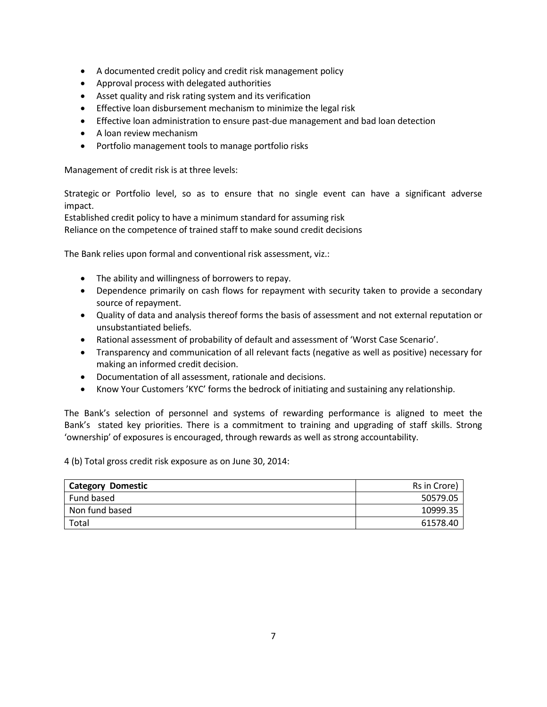- A documented credit policy and credit risk management policy
- Approval process with delegated authorities
- Asset quality and risk rating system and its verification
- **Effective loan disbursement mechanism to minimize the legal risk**
- Effective loan administration to ensure past-due management and bad loan detection
- A loan review mechanism
- Portfolio management tools to manage portfolio risks

Management of credit risk is at three levels:

Strategic or Portfolio level, so as to ensure that no single event can have a significant adverse impact.

Established credit policy to have a minimum standard for assuming risk

Reliance on the competence of trained staff to make sound credit decisions

The Bank relies upon formal and conventional risk assessment, viz.:

- The ability and willingness of borrowers to repay.
- Dependence primarily on cash flows for repayment with security taken to provide a secondary source of repayment.
- Quality of data and analysis thereof forms the basis of assessment and not external reputation or unsubstantiated beliefs.
- Rational assessment of probability of default and assessment of 'Worst Case Scenario'.
- Transparency and communication of all relevant facts (negative as well as positive) necessary for making an informed credit decision.
- Documentation of all assessment, rationale and decisions.
- Know Your Customers 'KYC' forms the bedrock of initiating and sustaining any relationship.

The Bank's selection of personnel and systems of rewarding performance is aligned to meet the Bank's stated key priorities. There is a commitment to training and upgrading of staff skills. Strong 'ownership' of exposures is encouraged, through rewards as well as strong accountability.

4 (b) Total gross credit risk exposure as on June 30, 2014:

| <b>Category Domestic</b> | Rs in Crore) |
|--------------------------|--------------|
| Fund based               | 50579.05     |
| Non fund based           | 10999.35     |
| Total                    | 61578.40     |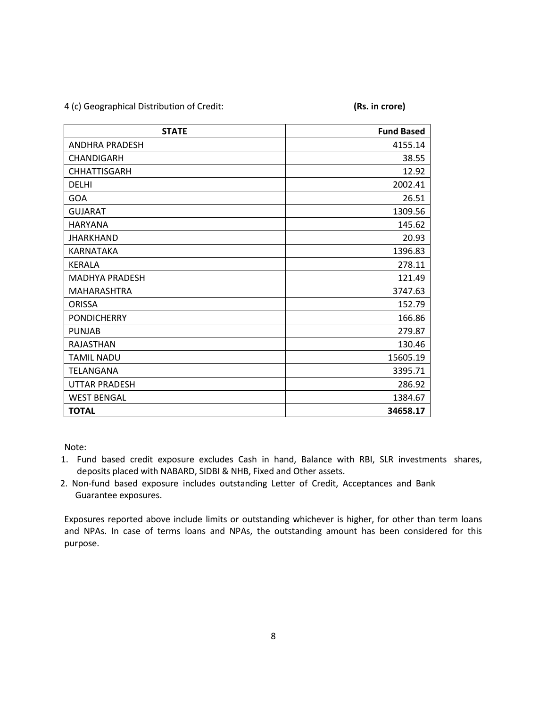4 (c) Geographical Distribution of Credit: **(Rs. in crore)**

| <b>STATE</b>          | <b>Fund Based</b> |
|-----------------------|-------------------|
| <b>ANDHRA PRADESH</b> | 4155.14           |
| <b>CHANDIGARH</b>     | 38.55             |
| <b>CHHATTISGARH</b>   | 12.92             |
| <b>DELHI</b>          | 2002.41           |
| GOA                   | 26.51             |
| <b>GUJARAT</b>        | 1309.56           |
| <b>HARYANA</b>        | 145.62            |
| <b>JHARKHAND</b>      | 20.93             |
| <b>KARNATAKA</b>      | 1396.83           |
| <b>KERALA</b>         | 278.11            |
| <b>MADHYA PRADESH</b> | 121.49            |
| <b>MAHARASHTRA</b>    | 3747.63           |
| <b>ORISSA</b>         | 152.79            |
| <b>PONDICHERRY</b>    | 166.86            |
| <b>PUNJAB</b>         | 279.87            |
| <b>RAJASTHAN</b>      | 130.46            |
| <b>TAMIL NADU</b>     | 15605.19          |
| <b>TELANGANA</b>      | 3395.71           |
| <b>UTTAR PRADESH</b>  | 286.92            |
| <b>WEST BENGAL</b>    | 1384.67           |
| <b>TOTAL</b>          | 34658.17          |

Note:

- 1. Fund based credit exposure excludes Cash in hand, Balance with RBI, SLR investments shares, deposits placed with NABARD, SIDBI & NHB, Fixed and Other assets.
- 2. Non-fund based exposure includes outstanding Letter of Credit, Acceptances and Bank Guarantee exposures.

Exposures reported above include limits or outstanding whichever is higher, for other than term loans and NPAs. In case of terms loans and NPAs, the outstanding amount has been considered for this purpose.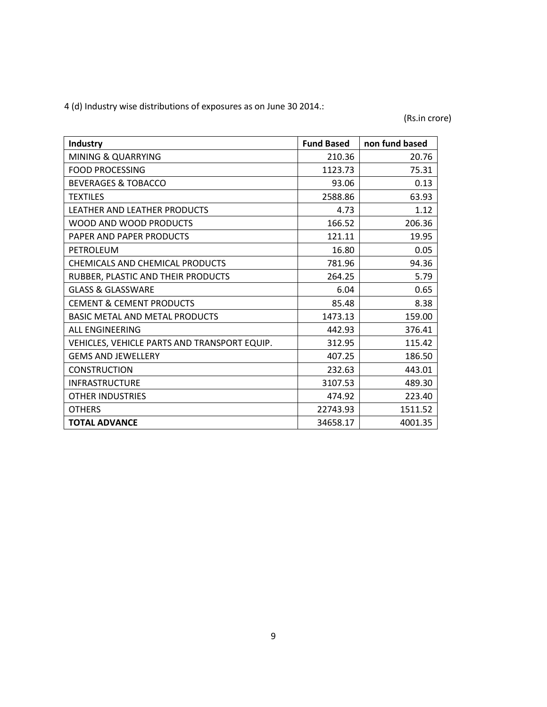4 (d) Industry wise distributions of exposures as on June 30 2014.:

(Rs.in crore)

| <b>Industry</b>                              | <b>Fund Based</b> | non fund based |
|----------------------------------------------|-------------------|----------------|
| <b>MINING &amp; QUARRYING</b>                | 210.36            | 20.76          |
| <b>FOOD PROCESSING</b>                       | 1123.73           | 75.31          |
| <b>BEVERAGES &amp; TOBACCO</b>               | 93.06             | 0.13           |
| <b>TEXTILES</b>                              | 2588.86           | 63.93          |
| LEATHER AND LEATHER PRODUCTS                 | 4.73              | 1.12           |
| WOOD AND WOOD PRODUCTS                       | 166.52            | 206.36         |
| PAPER AND PAPER PRODUCTS                     | 121.11            | 19.95          |
| PETROLEUM                                    | 16.80             | 0.05           |
| CHEMICALS AND CHEMICAL PRODUCTS              | 781.96            | 94.36          |
| RUBBER, PLASTIC AND THEIR PRODUCTS           | 264.25            | 5.79           |
| <b>GLASS &amp; GLASSWARE</b>                 | 6.04              | 0.65           |
| <b>CEMENT &amp; CEMENT PRODUCTS</b>          | 85.48             | 8.38           |
| <b>BASIC METAL AND METAL PRODUCTS</b>        | 1473.13           | 159.00         |
| <b>ALL ENGINEERING</b>                       | 442.93            | 376.41         |
| VEHICLES, VEHICLE PARTS AND TRANSPORT EQUIP. | 312.95            | 115.42         |
| <b>GEMS AND JEWELLERY</b>                    | 407.25            | 186.50         |
| <b>CONSTRUCTION</b>                          | 232.63            | 443.01         |
| <b>INFRASTRUCTURE</b>                        | 3107.53           | 489.30         |
| <b>OTHER INDUSTRIES</b>                      | 474.92            | 223.40         |
| <b>OTHERS</b>                                | 22743.93          | 1511.52        |
| <b>TOTAL ADVANCE</b>                         | 34658.17          | 4001.35        |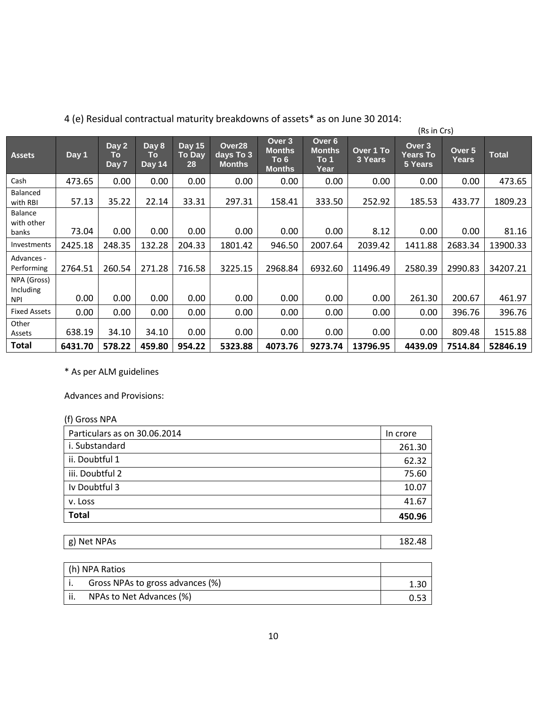|                                        |                  | , it, internation correlation indicatily preditation is or assets.<br>(Rs in Crs) |                       |                                      |                                      |                                                  |                                         |                      |                                      |                        |              |
|----------------------------------------|------------------|-----------------------------------------------------------------------------------|-----------------------|--------------------------------------|--------------------------------------|--------------------------------------------------|-----------------------------------------|----------------------|--------------------------------------|------------------------|--------------|
| <b>Assets</b>                          | Day <sub>1</sub> | Day 2<br>To<br>Day 7                                                              | Day 8<br>To<br>Day 14 | <b>Day 15</b><br><b>To Day</b><br>28 | Over28<br>days To 3<br><b>Months</b> | Over 3<br><b>Months</b><br>To 6<br><b>Months</b> | Over 6<br><b>Months</b><br>To 1<br>Year | Over 1 To<br>3 Years | Over 3<br><b>Years To</b><br>5 Years | Over 5<br><b>Years</b> | <b>Total</b> |
| Cash                                   | 473.65           | 0.00                                                                              | 0.00                  | 0.00                                 | 0.00                                 | 0.00                                             | 0.00                                    | 0.00                 | 0.00                                 | 0.00                   | 473.65       |
| Balanced<br>with RBI                   | 57.13            | 35.22                                                                             | 22.14                 | 33.31                                | 297.31                               | 158.41                                           | 333.50                                  | 252.92               | 185.53                               | 433.77                 | 1809.23      |
| <b>Balance</b><br>with other<br>banks  | 73.04            | 0.00                                                                              | 0.00                  | 0.00                                 | 0.00                                 | 0.00                                             | 0.00                                    | 8.12                 | 0.00                                 | 0.00                   | 81.16        |
| Investments                            | 2425.18          | 248.35                                                                            | 132.28                | 204.33                               | 1801.42                              | 946.50                                           | 2007.64                                 | 2039.42              | 1411.88                              | 2683.34                | 13900.33     |
| Advances -<br>Performing               | 2764.51          | 260.54                                                                            | 271.28                | 716.58                               | 3225.15                              | 2968.84                                          | 6932.60                                 | 11496.49             | 2580.39                              | 2990.83                | 34207.21     |
| NPA (Gross)<br>Including<br><b>NPI</b> | 0.00             | 0.00                                                                              | 0.00                  | 0.00                                 | 0.00                                 | 0.00                                             | 0.00                                    | 0.00                 | 261.30                               | 200.67                 | 461.97       |
| <b>Fixed Assets</b>                    | 0.00             | 0.00                                                                              | 0.00                  | 0.00                                 | 0.00                                 | 0.00                                             | 0.00                                    | 0.00                 | 0.00                                 | 396.76                 | 396.76       |
| Other<br>Assets                        | 638.19           | 34.10                                                                             | 34.10                 | 0.00                                 | 0.00                                 | 0.00                                             | 0.00                                    | 0.00                 | 0.00                                 | 809.48                 | 1515.88      |
| Total                                  | 6431.70          | 578.22                                                                            | 459.80                | 954.22                               | 5323.88                              | 4073.76                                          | 9273.74                                 | 13796.95             | 4439.09                              | 7514.84                | 52846.19     |

4 (e) Residual contractual maturity breakdowns of assets\* as on June 30 2014:

\* As per ALM guidelines

Advances and Provisions:

| (f) Gross NPA                |          |
|------------------------------|----------|
| Particulars as on 30.06.2014 | In crore |
| i. Substandard               | 261.30   |
| ii. Doubtful 1               | 62.32    |
| iii. Doubtful 2              | 75.60    |
| Iv Doubtful 3                | 10.07    |
| v. Loss                      | 41.67    |
| <b>Total</b>                 | 450.96   |

| 104.<br>ו סו | Net NPAs<br>σ١ | $\overline{ }$ |
|--------------|----------------|----------------|
|--------------|----------------|----------------|

| h) NPA Ratios                    |  |
|----------------------------------|--|
| Gross NPAs to gross advances (%) |  |
| NPAs to Net Advances (%)         |  |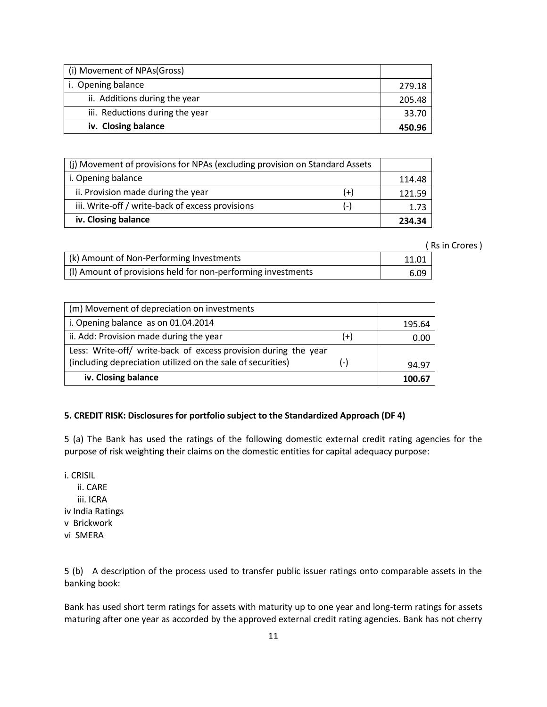| (i) Movement of NPAs(Gross)     |        |
|---------------------------------|--------|
| i. Opening balance              | 279.18 |
| ii. Additions during the year   | 205.48 |
| iii. Reductions during the year | 33.70  |
| iv. Closing balance             | 450.96 |

| (i) Movement of provisions for NPAs (excluding provision on Standard Assets |          |        |
|-----------------------------------------------------------------------------|----------|--------|
| i. Opening balance                                                          |          | 114.48 |
| ii. Provision made during the year                                          | $^{(+)}$ | 121.59 |
| iii. Write-off / write-back of excess provisions                            | ( – )    | 1.73   |
| iv. Closing balance                                                         |          | 234.34 |

( Rs in Crores )

| (k) Amount of Non-Performing Investments                     | 11.01 |
|--------------------------------------------------------------|-------|
| (I) Amount of provisions held for non-performing investments | 6.09  |

| (m) Movement of depreciation on investments                     |       |        |
|-----------------------------------------------------------------|-------|--------|
| i. Opening balance as on 01.04.2014                             |       | 195.64 |
| ii. Add: Provision made during the year                         | $(+)$ | 0.00   |
| Less: Write-off/ write-back of excess provision during the year |       |        |
| (including depreciation utilized on the sale of securities)     | (-)   | 94.97  |
| iv. Closing balance                                             |       | 100.67 |

# **5. CREDIT RISK: Disclosures for portfolio subject to the Standardized Approach (DF 4)**

5 (a) The Bank has used the ratings of the following domestic external credit rating agencies for the purpose of risk weighting their claims on the domestic entities for capital adequacy purpose:

i. CRISIL ii. CARE iii. ICRA iv India Ratings v Brickwork vi SMERA

5 (b) A description of the process used to transfer public issuer ratings onto comparable assets in the banking book:

Bank has used short term ratings for assets with maturity up to one year and long-term ratings for assets maturing after one year as accorded by the approved external credit rating agencies. Bank has not cherry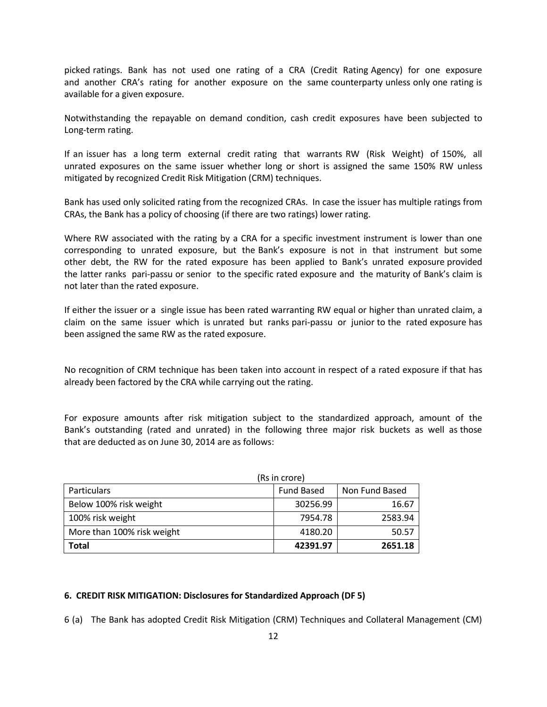picked ratings. Bank has not used one rating of a CRA (Credit Rating Agency) for one exposure and another CRA's rating for another exposure on the same counterparty unless only one rating is available for a given exposure.

Notwithstanding the repayable on demand condition, cash credit exposures have been subjected to Long-term rating.

If an issuer has a long term external credit rating that warrants RW (Risk Weight) of 150%, all unrated exposures on the same issuer whether long or short is assigned the same 150% RW unless mitigated by recognized Credit Risk Mitigation (CRM) techniques.

Bank has used only solicited rating from the recognized CRAs. In case the issuer has multiple ratings from CRAs, the Bank has a policy of choosing (if there are two ratings) lower rating.

Where RW associated with the rating by a CRA for a specific investment instrument is lower than one corresponding to unrated exposure, but the Bank's exposure is not in that instrument but some other debt, the RW for the rated exposure has been applied to Bank's unrated exposure provided the latter ranks pari-passu or senior to the specific rated exposure and the maturity of Bank's claim is not later than the rated exposure.

If either the issuer or a single issue has been rated warranting RW equal or higher than unrated claim, a claim on the same issuer which is unrated but ranks pari-passu or junior to the rated exposure has been assigned the same RW as the rated exposure.

No recognition of CRM technique has been taken into account in respect of a rated exposure if that has already been factored by the CRA while carrying out the rating.

For exposure amounts after risk mitigation subject to the standardized approach, amount of the Bank's outstanding (rated and unrated) in the following three major risk buckets as well as those that are deducted as on June 30, 2014 are as follows:

| (Rs in crore)              |                   |                |  |
|----------------------------|-------------------|----------------|--|
| <b>Particulars</b>         | <b>Fund Based</b> | Non Fund Based |  |
| Below 100% risk weight     | 30256.99          | 16.67          |  |
| 100% risk weight           | 7954.78           | 2583.94        |  |
| More than 100% risk weight | 4180.20           | 50.57          |  |
| <b>Total</b>               | 42391.97          | 2651.18        |  |

## **6. CREDIT RISK MITIGATION: Disclosures for Standardized Approach (DF 5)**

6 (a) The Bank has adopted Credit Risk Mitigation (CRM) Techniques and Collateral Management (CM)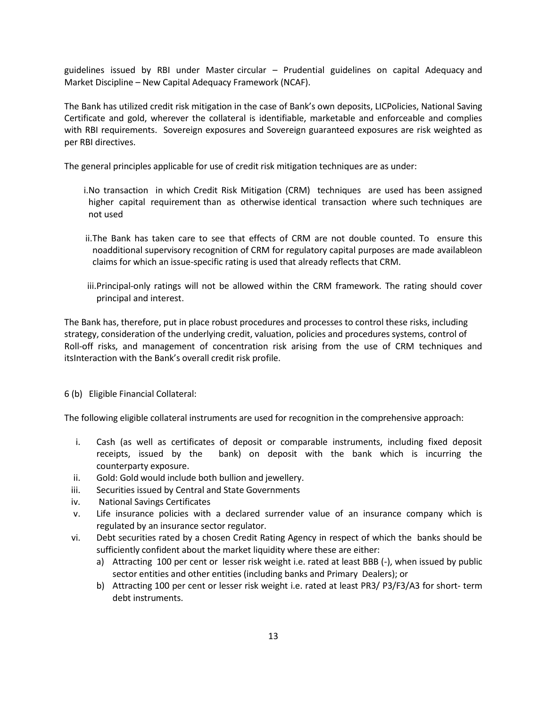guidelines issued by RBI under Master circular – Prudential guidelines on capital Adequacy and Market Discipline – New Capital Adequacy Framework (NCAF).

The Bank has utilized credit risk mitigation in the case of Bank's own deposits, LICPolicies, National Saving Certificate and gold, wherever the collateral is identifiable, marketable and enforceable and complies with RBI requirements. Sovereign exposures and Sovereign guaranteed exposures are risk weighted as per RBI directives.

The general principles applicable for use of credit risk mitigation techniques are as under:

- i.No transaction in which Credit Risk Mitigation (CRM) techniques are used has been assigned higher capital requirement than as otherwise identical transaction where such techniques are not used
- ii.The Bank has taken care to see that effects of CRM are not double counted. To ensure this noadditional supervisory recognition of CRM for regulatory capital purposes are made availableon claims for which an issue-specific rating is used that already reflects that CRM.
- iii.Principal-only ratings will not be allowed within the CRM framework. The rating should cover principal and interest.

The Bank has, therefore, put in place robust procedures and processes to control these risks, including strategy, consideration of the underlying credit, valuation, policies and procedures systems, control of Roll-off risks, and management of concentration risk arising from the use of CRM techniques and itsInteraction with the Bank's overall credit risk profile.

6 (b) Eligible Financial Collateral:

The following eligible collateral instruments are used for recognition in the comprehensive approach:

- i. Cash (as well as certificates of deposit or comparable instruments, including fixed deposit receipts, issued by the bank) on deposit with the bank which is incurring the counterparty exposure.
- ii. Gold: Gold would include both bullion and jewellery.
- iii. Securities issued by Central and State Governments
- iv. National Savings Certificates
- v. Life insurance policies with a declared surrender value of an insurance company which is regulated by an insurance sector regulator.
- vi. Debt securities rated by a chosen Credit Rating Agency in respect of which the banks should be sufficiently confident about the market liquidity where these are either:
	- a) Attracting 100 per cent or lesser risk weight i.e. rated at least BBB (-), when issued by public sector entities and other entities (including banks and Primary Dealers); or
	- b) Attracting 100 per cent or lesser risk weight i.e. rated at least PR3/ P3/F3/A3 for short- term debt instruments.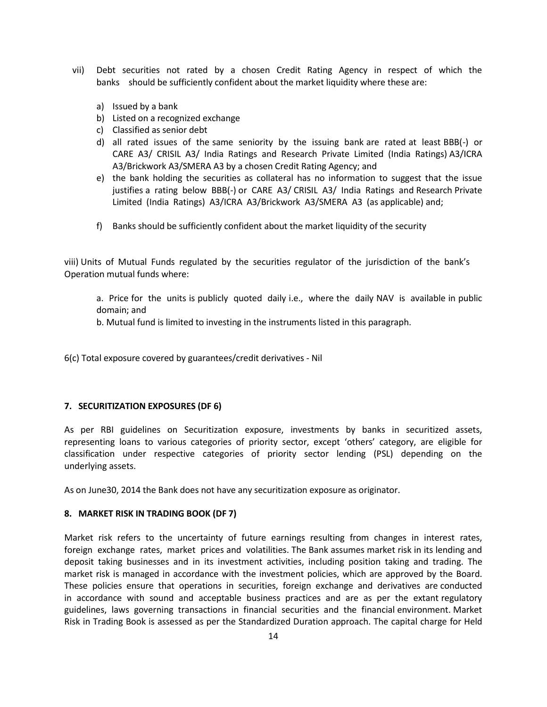- vii) Debt securities not rated by a chosen Credit Rating Agency in respect of which the banks should be sufficiently confident about the market liquidity where these are:
	- a) Issued by a bank
	- b) Listed on a recognized exchange
	- c) Classified as senior debt
	- d) all rated issues of the same seniority by the issuing bank are rated at least BBB(-) or CARE A3/ CRISIL A3/ India Ratings and Research Private Limited (India Ratings) A3/ICRA A3/Brickwork A3/SMERA A3 by a chosen Credit Rating Agency; and
	- e) the bank holding the securities as collateral has no information to suggest that the issue justifies a rating below BBB(-) or CARE A3/ CRISIL A3/ India Ratings and Research Private Limited (India Ratings) A3/ICRA A3/Brickwork A3/SMERA A3 (as applicable) and;
	- f) Banks should be sufficiently confident about the market liquidity of the security

viii) Units of Mutual Funds regulated by the securities regulator of the jurisdiction of the bank's Operation mutual funds where:

a. Price for the units is publicly quoted daily i.e., where the daily NAV is available in public domain; and

b. Mutual fund is limited to investing in the instruments listed in this paragraph.

6(c) Total exposure covered by guarantees/credit derivatives - Nil

#### **7. SECURITIZATION EXPOSURES (DF 6)**

As per RBI guidelines on Securitization exposure, investments by banks in securitized assets, representing loans to various categories of priority sector, except 'others' category, are eligible for classification under respective categories of priority sector lending (PSL) depending on the underlying assets.

As on June30, 2014 the Bank does not have any securitization exposure as originator.

#### **8. MARKET RISK IN TRADING BOOK (DF 7)**

Market risk refers to the uncertainty of future earnings resulting from changes in interest rates, foreign exchange rates, market prices and volatilities. The Bank assumes market risk in its lending and deposit taking businesses and in its investment activities, including position taking and trading. The market risk is managed in accordance with the investment policies, which are approved by the Board. These policies ensure that operations in securities, foreign exchange and derivatives are conducted in accordance with sound and acceptable business practices and are as per the extant regulatory guidelines, laws governing transactions in financial securities and the financial environment. Market Risk in Trading Book is assessed as per the Standardized Duration approach. The capital charge for Held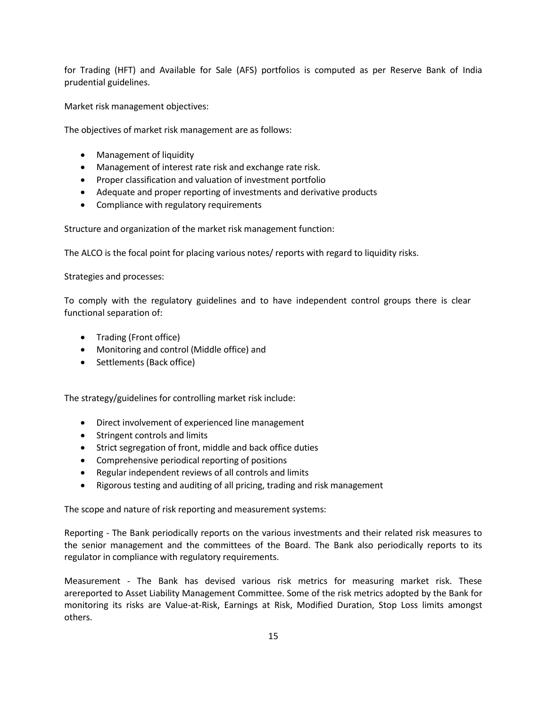for Trading (HFT) and Available for Sale (AFS) portfolios is computed as per Reserve Bank of India prudential guidelines.

Market risk management objectives:

The objectives of market risk management are as follows:

- Management of liquidity
- Management of interest rate risk and exchange rate risk.
- Proper classification and valuation of investment portfolio
- Adequate and proper reporting of investments and derivative products
- Compliance with regulatory requirements

Structure and organization of the market risk management function:

The ALCO is the focal point for placing various notes/ reports with regard to liquidity risks.

Strategies and processes:

To comply with the regulatory guidelines and to have independent control groups there is clear functional separation of:

- Trading (Front office)
- Monitoring and control (Middle office) and
- Settlements (Back office)

The strategy/guidelines for controlling market risk include:

- Direct involvement of experienced line management
- Stringent controls and limits
- Strict segregation of front, middle and back office duties
- Comprehensive periodical reporting of positions
- Regular independent reviews of all controls and limits
- Rigorous testing and auditing of all pricing, trading and risk management

The scope and nature of risk reporting and measurement systems:

Reporting - The Bank periodically reports on the various investments and their related risk measures to the senior management and the committees of the Board. The Bank also periodically reports to its regulator in compliance with regulatory requirements.

Measurement - The Bank has devised various risk metrics for measuring market risk. These arereported to Asset Liability Management Committee. Some of the risk metrics adopted by the Bank for monitoring its risks are Value-at-Risk, Earnings at Risk, Modified Duration, Stop Loss limits amongst others.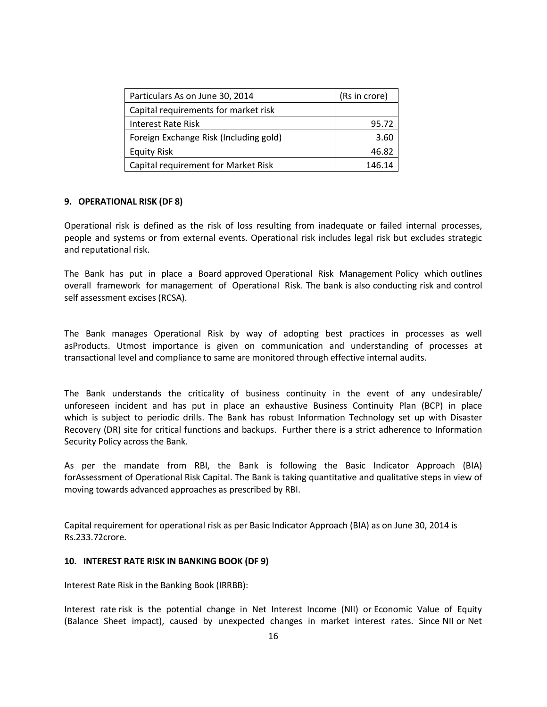| Particulars As on June 30, 2014        | (Rs in crore) |
|----------------------------------------|---------------|
| Capital requirements for market risk   |               |
| Interest Rate Risk                     | 95.72         |
| Foreign Exchange Risk (Including gold) | 3.60          |
| <b>Equity Risk</b>                     | 46.82         |
| Capital requirement for Market Risk    | 146.14        |

# **9. OPERATIONAL RISK (DF 8)**

Operational risk is defined as the risk of loss resulting from inadequate or failed internal processes, people and systems or from external events. Operational risk includes legal risk but excludes strategic and reputational risk.

The Bank has put in place a Board approved Operational Risk Management Policy which outlines overall framework for management of Operational Risk. The bank is also conducting risk and control self assessment excises (RCSA).

The Bank manages Operational Risk by way of adopting best practices in processes as well asProducts. Utmost importance is given on communication and understanding of processes at transactional level and compliance to same are monitored through effective internal audits.

The Bank understands the criticality of business continuity in the event of any undesirable/ unforeseen incident and has put in place an exhaustive Business Continuity Plan (BCP) in place which is subject to periodic drills. The Bank has robust Information Technology set up with Disaster Recovery (DR) site for critical functions and backups. Further there is a strict adherence to Information Security Policy across the Bank.

As per the mandate from RBI, the Bank is following the Basic Indicator Approach (BIA) forAssessment of Operational Risk Capital. The Bank is taking quantitative and qualitative steps in view of moving towards advanced approaches as prescribed by RBI.

Capital requirement for operational risk as per Basic Indicator Approach (BIA) as on June 30, 2014 is Rs.233.72crore.

# **10. INTEREST RATE RISK IN BANKING BOOK (DF 9)**

Interest Rate Risk in the Banking Book (IRRBB):

Interest rate risk is the potential change in Net Interest Income (NII) or Economic Value of Equity (Balance Sheet impact), caused by unexpected changes in market interest rates. Since NII or Net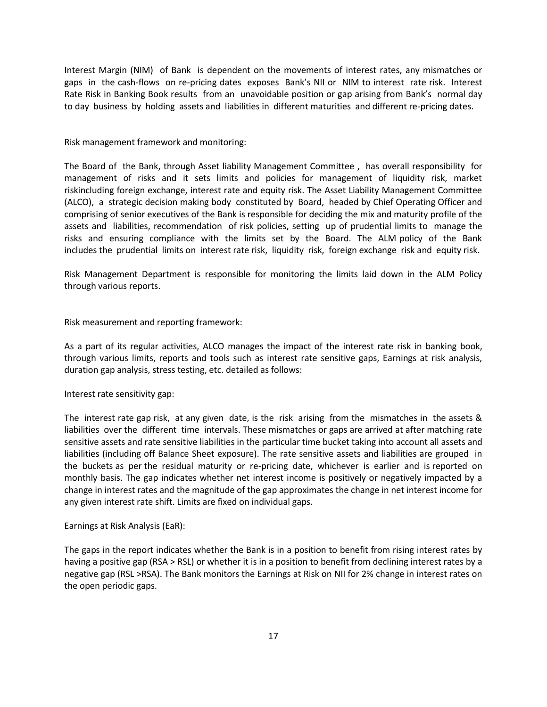Interest Margin (NIM) of Bank is dependent on the movements of interest rates, any mismatches or gaps in the cash-flows on re-pricing dates exposes Bank's NII or NIM to interest rate risk. Interest Rate Risk in Banking Book results from an unavoidable position or gap arising from Bank's normal day to day business by holding assets and liabilities in different maturities and different re-pricing dates.

Risk management framework and monitoring:

The Board of the Bank, through Asset liability Management Committee , has overall responsibility for management of risks and it sets limits and policies for management of liquidity risk, market riskincluding foreign exchange, interest rate and equity risk. The Asset Liability Management Committee (ALCO), a strategic decision making body constituted by Board, headed by Chief Operating Officer and comprising of senior executives of the Bank is responsible for deciding the mix and maturity profile of the assets and liabilities, recommendation of risk policies, setting up of prudential limits to manage the risks and ensuring compliance with the limits set by the Board. The ALM policy of the Bank includes the prudential limits on interest rate risk, liquidity risk, foreign exchange risk and equity risk.

Risk Management Department is responsible for monitoring the limits laid down in the ALM Policy through various reports.

Risk measurement and reporting framework:

As a part of its regular activities, ALCO manages the impact of the interest rate risk in banking book, through various limits, reports and tools such as interest rate sensitive gaps, Earnings at risk analysis, duration gap analysis, stress testing, etc. detailed as follows:

Interest rate sensitivity gap:

The interest rate gap risk, at any given date, is the risk arising from the mismatches in the assets & liabilities over the different time intervals. These mismatches or gaps are arrived at after matching rate sensitive assets and rate sensitive liabilities in the particular time bucket taking into account all assets and liabilities (including off Balance Sheet exposure). The rate sensitive assets and liabilities are grouped in the buckets as per the residual maturity or re-pricing date, whichever is earlier and is reported on monthly basis. The gap indicates whether net interest income is positively or negatively impacted by a change in interest rates and the magnitude of the gap approximates the change in net interest income for any given interest rate shift. Limits are fixed on individual gaps.

Earnings at Risk Analysis (EaR):

The gaps in the report indicates whether the Bank is in a position to benefit from rising interest rates by having a positive gap (RSA > RSL) or whether it is in a position to benefit from declining interest rates by a negative gap (RSL >RSA). The Bank monitors the Earnings at Risk on NII for 2% change in interest rates on the open periodic gaps.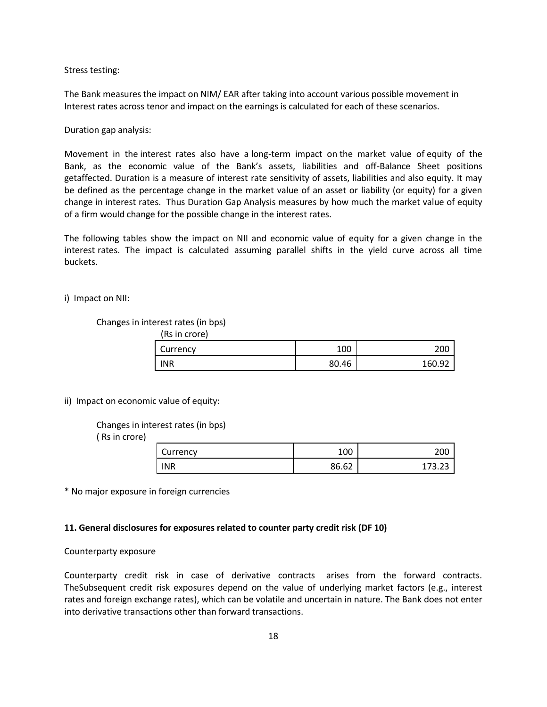Stress testing:

The Bank measures the impact on NIM/ EAR after taking into account various possible movement in Interest rates across tenor and impact on the earnings is calculated for each of these scenarios.

Duration gap analysis:

Movement in the interest rates also have a long-term impact on the market value of equity of the Bank, as the economic value of the Bank's assets, liabilities and off-Balance Sheet positions getaffected. Duration is a measure of interest rate sensitivity of assets, liabilities and also equity. It may be defined as the percentage change in the market value of an asset or liability (or equity) for a given change in interest rates. Thus Duration Gap Analysis measures by how much the market value of equity of a firm would change for the possible change in the interest rates.

The following tables show the impact on NII and economic value of equity for a given change in the interest rates. The impact is calculated assuming parallel shifts in the yield curve across all time buckets.

i) Impact on NII:

#### Changes in interest rates (in bps)

(Rs in crore)

| Currency   | 100   | 200    |
|------------|-------|--------|
| <b>INR</b> | 80.46 | 160.92 |

ii) Impact on economic value of equity:

Changes in interest rates (in bps)

( Rs in crore)

| Currency   | 100   | 200             |
|------------|-------|-----------------|
| <b>INR</b> | 86.62 | $173.2^{\circ}$ |

\* No major exposure in foreign currencies

#### **11. General disclosures for exposures related to counter party credit risk (DF 10)**

#### Counterparty exposure

Counterparty credit risk in case of derivative contracts arises from the forward contracts. TheSubsequent credit risk exposures depend on the value of underlying market factors (e.g., interest rates and foreign exchange rates), which can be volatile and uncertain in nature. The Bank does not enter into derivative transactions other than forward transactions.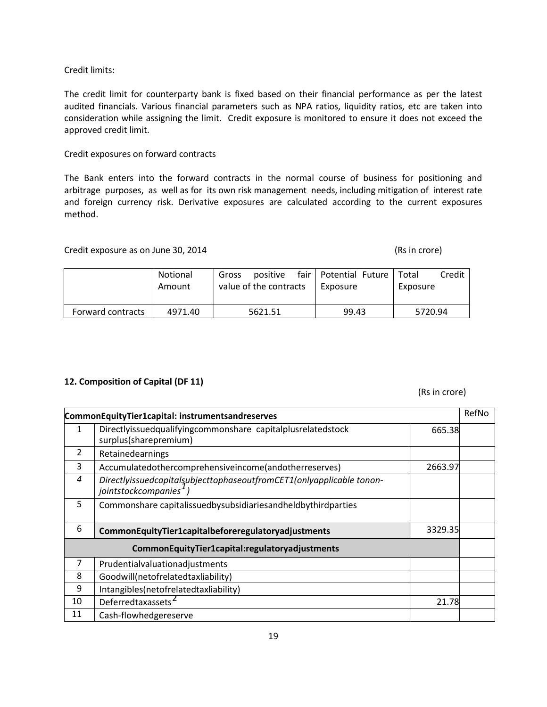# Credit limits:

The credit limit for counterparty bank is fixed based on their financial performance as per the latest audited financials. Various financial parameters such as NPA ratios, liquidity ratios, etc are taken into consideration while assigning the limit. Credit exposure is monitored to ensure it does not exceed the approved credit limit.

# Credit exposures on forward contracts

The Bank enters into the forward contracts in the normal course of business for positioning and arbitrage purposes, as well as for its own risk management needs, including mitigation of interest rate and foreign currency risk. Derivative exposures are calculated according to the current exposures method.

# Credit exposure as on June 30, 2014 (Rs in crore)

|                   | Notional<br>Amount | positive<br>Gross<br>value of the contracts | fair   Potential Future<br>Exposure | Credit<br>Total<br>Exposure |
|-------------------|--------------------|---------------------------------------------|-------------------------------------|-----------------------------|
| Forward contracts | 4971.40            | 5621.51                                     | 99.43                               | 5720.94                     |

# **12. Composition of Capital (DF 11)**

# (Rs in crore)

| CommonEquityTier1capital: instrumentsandreserves |                                                                                                   |         | RefNo |
|--------------------------------------------------|---------------------------------------------------------------------------------------------------|---------|-------|
| 1                                                | Directlyissuedqualifyingcommonshare capitalplusrelatedstock<br>surplus(sharepremium)              | 665.38  |       |
| $\overline{2}$                                   | Retainedearnings                                                                                  |         |       |
| 3                                                | Accumulatedothercomprehensiveincome(andotherreserves)                                             | 2663.97 |       |
| 4                                                | DirectlyissuedcapitalsubjecttophaseoutfromCET1(onlyapplicable tonon-<br>jointstockcompanies $1$ ) |         |       |
| 5                                                | Commonshare capitalissuedbysubsidiariesandheldbythirdparties                                      |         |       |
| 6                                                | CommonEquityTier1capitalbeforeregulatoryadjustments                                               | 3329.35 |       |
| CommonEquityTier1capital:regulatoryadjustments   |                                                                                                   |         |       |
| 7                                                | Prudentialvaluationadjustments                                                                    |         |       |
| 8                                                | Goodwill(netofrelatedtaxliability)                                                                |         |       |
| 9                                                | Intangibles(netofrelatedtaxliability)                                                             |         |       |
| 10                                               | Deferredtaxassets <sup>2</sup>                                                                    | 21.78   |       |
| 11                                               | Cash-flowhedgereserve                                                                             |         |       |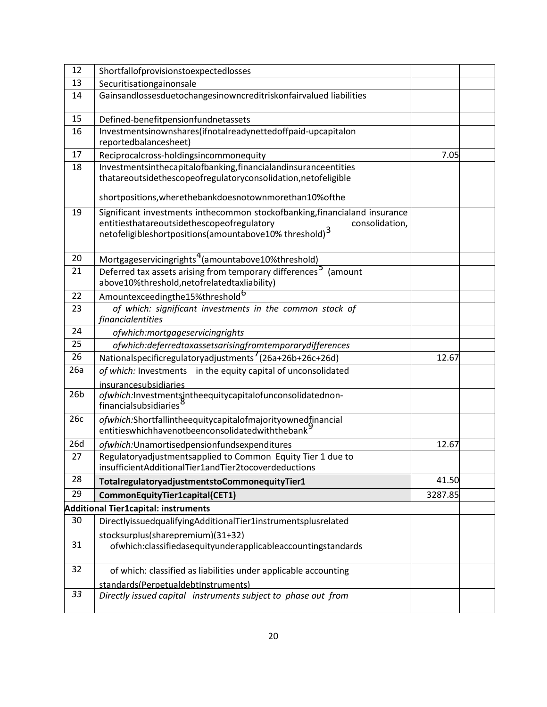| 12              | Shortfallofprovisionstoexpectedlosses                                                                                                                                                                    |         |  |
|-----------------|----------------------------------------------------------------------------------------------------------------------------------------------------------------------------------------------------------|---------|--|
| 13              | Securitisationgainonsale                                                                                                                                                                                 |         |  |
| 14              | Gainsandlossesduetochangesinowncreditriskonfairvalued liabilities                                                                                                                                        |         |  |
| 15              | Defined-benefitpensionfundnetassets                                                                                                                                                                      |         |  |
| 16              | Investmentsinownshares(ifnotalreadynettedoffpaid-upcapitalon<br>reportedbalancesheet)                                                                                                                    |         |  |
| 17              | 7.05<br>Reciprocalcross-holdingsincommonequity                                                                                                                                                           |         |  |
| 18              | Investmentsinthecapitalofbanking, financial and insurance entities<br>thatareoutsidethescopeofregulatoryconsolidation, netofeligible                                                                     |         |  |
|                 | shortpositions, where the bankdoes notown more than 10% of the                                                                                                                                           |         |  |
| 19              | Significant investments inthecommon stockofbanking, financialand insurance<br>entitiesthatareoutsidethescopeofregulatory<br>consolidation,<br>netofeligibleshortpositions(amountabove10% threshold) $^3$ |         |  |
| 20              | Mortgageservicingrights <sup>4</sup> (amountabove10%threshold)                                                                                                                                           |         |  |
| 21              | Deferred tax assets arising from temporary differences <sup>5</sup> (amount<br>above10%threshold, netofrelatedtaxliability)                                                                              |         |  |
| 22              | Amountexceedingthe15%threshold <sup>6</sup>                                                                                                                                                              |         |  |
| 23              | of which: significant investments in the common stock of<br>financialentities                                                                                                                            |         |  |
| 24              | ofwhich:mortgageservicingrights                                                                                                                                                                          |         |  |
| 25              | ofwhich:deferredtaxassetsarisingfromtemporarydifferences                                                                                                                                                 |         |  |
| 26              | Nationalspecificregulatoryadjustments '(26a+26b+26c+26d)                                                                                                                                                 | 12.67   |  |
| 26a             | of which: Investments in the equity capital of unconsolidated<br>insurancesubsidiaries                                                                                                                   |         |  |
| 26 <sub>b</sub> | ofwhich:Investmentsjntheequitycapitalofunconsolidatednon-<br>financialsubsidiaries <sup>8</sup>                                                                                                          |         |  |
| 26c             | ofwhich:Shortfallintheequitycapitalofmajorityownedfinancial<br>entitieswhichhavenotbeenconsolidatedwiththebank                                                                                           |         |  |
| 26d             | 12.67<br>ofwhich: Unamortisedpensionfundsexpenditures                                                                                                                                                    |         |  |
| 27              | Regulatoryadjustmentsapplied to Common Equity Tier 1 due to<br>insufficientAdditionalTier1andTier2tocoverdeductions                                                                                      |         |  |
| 28              | TotalregulatoryadjustmentstoCommonequityTier1                                                                                                                                                            | 41.50   |  |
| 29              | CommonEquityTier1capital(CET1)                                                                                                                                                                           | 3287.85 |  |
|                 | Additional Tier1capital: instruments                                                                                                                                                                     |         |  |
| 30              | DirectlyissuedqualifyingAdditionalTier1instrumentsplusrelated                                                                                                                                            |         |  |
|                 | stocksurplus(sharepremium)(31+32)                                                                                                                                                                        |         |  |
| 31              | ofwhich:classifiedasequityunderapplicableaccountingstandards                                                                                                                                             |         |  |
| 32              | of which: classified as liabilities under applicable accounting                                                                                                                                          |         |  |
|                 | standards(PerpetualdebtInstruments)                                                                                                                                                                      |         |  |
| 33              | Directly issued capital instruments subject to phase out from                                                                                                                                            |         |  |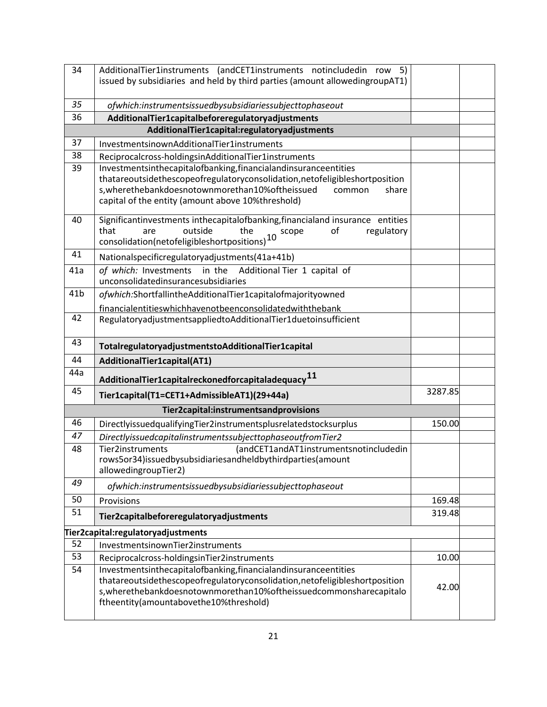| 34              | AdditionalTier1instruments (andCET1instruments notincludedin row 5)<br>issued by subsidiaries and held by third parties (amount allowedingroupAT1)                                                              |         |  |
|-----------------|-----------------------------------------------------------------------------------------------------------------------------------------------------------------------------------------------------------------|---------|--|
|                 |                                                                                                                                                                                                                 |         |  |
| 35<br>36        | ofwhich:instrumentsissuedbysubsidiariessubjecttophaseout                                                                                                                                                        |         |  |
|                 | AdditionalTier1capitalbeforeregulatoryadjustments<br>AdditionalTier1capital:regulatoryadjustments                                                                                                               |         |  |
| 37              | InvestmentsinownAdditionalTier1instruments                                                                                                                                                                      |         |  |
| 38              | Reciprocalcross-holdingsinAdditionalTier1instruments                                                                                                                                                            |         |  |
| 39              | Investmentsinthecapitalofbanking, financial and insurance entities                                                                                                                                              |         |  |
|                 | thatareoutsidethescopeofregulatoryconsolidation, netofeligibleshortposition<br>s, where the bank doesnotown more than 10% of the issued<br>common<br>share<br>capital of the entity (amount above 10%threshold) |         |  |
| 40              | Significantinvestments inthecapitalofbanking, financialand insurance entities<br>that<br>outside<br>the<br>regulatory<br>are<br>of<br>10 scope<br>consolidation(netofeligibleshortpositions)                    |         |  |
| 41              | Nationalspecificregulatoryadjustments(41a+41b)                                                                                                                                                                  |         |  |
| 41a             | of which: Investments in the Additional Tier 1 capital of<br>unconsolidatedinsurancesubsidiaries                                                                                                                |         |  |
| 41 <sub>b</sub> | ofwhich:ShortfallintheAdditionalTier1capitalofmajorityowned                                                                                                                                                     |         |  |
|                 | financialentitieswhichhavenotbeenconsolidatedwiththebank                                                                                                                                                        |         |  |
| 42              | RegulatoryadjustmentsappliedtoAdditionalTier1duetoinsufficient                                                                                                                                                  |         |  |
| 43              | TotalregulatoryadjustmentstoAdditionalTier1capital                                                                                                                                                              |         |  |
| 44              | AdditionalTier1capital(AT1)                                                                                                                                                                                     |         |  |
| 44a             | Additional Tier1 capital reckoned for capital adequacy $11$                                                                                                                                                     |         |  |
| 45              | Tier1capital(T1=CET1+AdmissibleAT1)(29+44a)                                                                                                                                                                     | 3287.85 |  |
|                 | Tier2capital:instrumentsandprovisions                                                                                                                                                                           |         |  |
| 46              | DirectlyissuedqualifyingTier2instrumentsplusrelatedstocksurplus                                                                                                                                                 | 150.00  |  |
| 47              | DirectlyissuedcapitalinstrumentssubjecttophaseoutfromTier2                                                                                                                                                      |         |  |
| 48              | <b>Tier2instruments</b><br>(andCET1andAT1instrumentsnotincludedin<br>rows5or34)issuedbysubsidiariesandheldbythirdparties(amount<br>allowedingroupTier2)                                                         |         |  |
| 49              | ofwhich:instrumentsissuedbysubsidiariessubjecttophaseout                                                                                                                                                        |         |  |
| 50              |                                                                                                                                                                                                                 |         |  |
| 51              | Provisions                                                                                                                                                                                                      | 169.48  |  |
|                 | Tier2capitalbeforeregulatoryadjustments                                                                                                                                                                         | 319.48  |  |
|                 | Tier2capital:regulatoryadjustments                                                                                                                                                                              |         |  |
| 52              | InvestmentsinownTier2instruments                                                                                                                                                                                |         |  |
| 53<br>54        | Reciprocalcross-holdingsinTier2instruments<br>Investmentsinthecapitalofbanking, financial and insurance entities                                                                                                | 10.00   |  |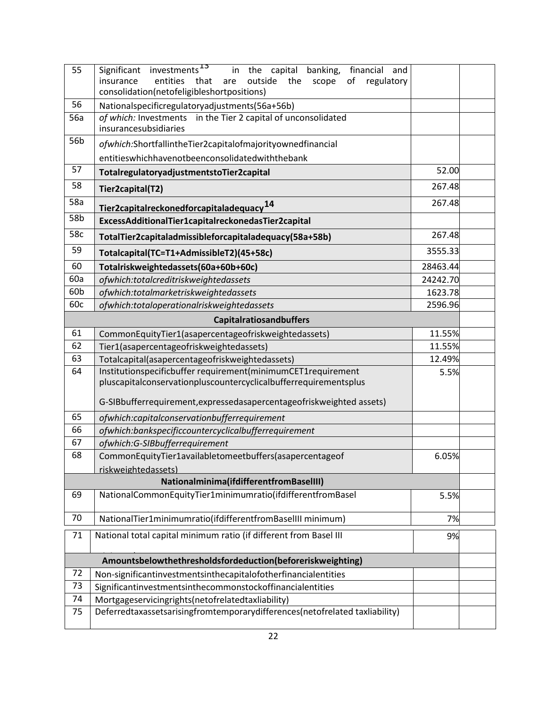| 55                             | Significant investments <sup>13</sup><br>in the capital banking, financial and<br>outside the<br>regulatory<br>insurance<br>entities that<br>scope<br>оf<br>are<br>consolidation(netofeligibleshortpositions) |          |         |
|--------------------------------|---------------------------------------------------------------------------------------------------------------------------------------------------------------------------------------------------------------|----------|---------|
| 56                             | Nationalspecificregulatoryadjustments(56a+56b)                                                                                                                                                                |          |         |
| 56a                            | of which: Investments in the Tier 2 capital of unconsolidated<br>insurancesubsidiaries                                                                                                                        |          |         |
| 56b                            | ofwhich:ShortfallintheTier2capitalofmajorityownedfinancial<br>entitieswhichhavenotbeenconsolidatedwiththebank                                                                                                 |          |         |
| 57                             | TotalregulatoryadjustmentstoTier2capital                                                                                                                                                                      | 52.00    |         |
| 58                             | Tier2capital(T2)                                                                                                                                                                                              |          | 267.48  |
| 58a                            | Tier2capitalreckonedforcapitaladequacy <sup>14</sup>                                                                                                                                                          |          | 267.48  |
| 58b                            | ExcessAdditionalTier1capitalreckonedasTier2capital                                                                                                                                                            |          |         |
| 58c                            | TotalTier2capitaladmissibleforcapitaladequacy(58a+58b)                                                                                                                                                        | 267.48   |         |
| 59                             | Totalcapital(TC=T1+AdmissibleT2)(45+58c)                                                                                                                                                                      | 3555.33  |         |
| 60                             | Totalriskweightedassets(60a+60b+60c)                                                                                                                                                                          | 28463.44 |         |
| 60a                            | ofwhich:totalcreditriskweightedassets                                                                                                                                                                         | 24242.70 |         |
| 60b                            | ofwhich:totalmarketriskweightedassets                                                                                                                                                                         | 1623.78  |         |
| 60c                            | ofwhich:totaloperationalriskweightedassets                                                                                                                                                                    |          | 2596.96 |
| <b>Capitalratiosandbuffers</b> |                                                                                                                                                                                                               |          |         |
| 61                             | CommonEquityTier1(asapercentageofriskweightedassets)                                                                                                                                                          |          | 11.55%  |
| 62                             | Tier1(asapercentageofriskweightedassets)                                                                                                                                                                      |          | 11.55%  |
| 63                             | Totalcapital(asapercentageofriskweightedassets)                                                                                                                                                               |          |         |
| 64                             | 12.49%<br>Institutionspecificbuffer requirement(minimumCET1requirement<br>5.5%<br>pluscapitalconservationpluscountercyclicalbufferrequirementsplus                                                            |          |         |
|                                | G-SIBbufferrequirement, expressed as apercentage of risk weighted assets)                                                                                                                                     |          |         |
| 65                             | ofwhich:capitalconservationbufferrequirement                                                                                                                                                                  |          |         |
| 66                             | ofwhich:bankspecificcountercyclicalbufferrequirement                                                                                                                                                          |          |         |
| 67                             | ofwhich:G-SIBbufferrequirement                                                                                                                                                                                |          |         |
| 68                             | CommonEquityTier1availabletomeetbuffers(asapercentageof                                                                                                                                                       | 6.05%    |         |
| riskweightedassets)            |                                                                                                                                                                                                               |          |         |
| 69                             | Nationalminima(ifdifferentfromBaselIII)<br>NationalCommonEquityTier1minimumratio(ifdifferentfromBasel                                                                                                         |          | 5.5%    |
| 70                             | NationalTier1minimumratio(ifdifferentfromBaselIII minimum)                                                                                                                                                    | 7%       |         |
| 71                             | National total capital minimum ratio (if different from Basel III<br>9%                                                                                                                                       |          |         |
|                                | Amountsbelowthethresholdsfordeduction(beforeriskweighting)                                                                                                                                                    |          |         |
| 72                             | Non-significantinvestmentsinthecapitalofotherfinancialentities                                                                                                                                                |          |         |
| 73                             | Significantinvestmentsinthecommonstockoffinancialentities                                                                                                                                                     |          |         |
| 74                             | Mortgageservicingrights(netofrelatedtaxliability)                                                                                                                                                             |          |         |
| 75                             | Deferredtaxassetsarisingfromtemporarydifferences(netofrelated taxliability)                                                                                                                                   |          |         |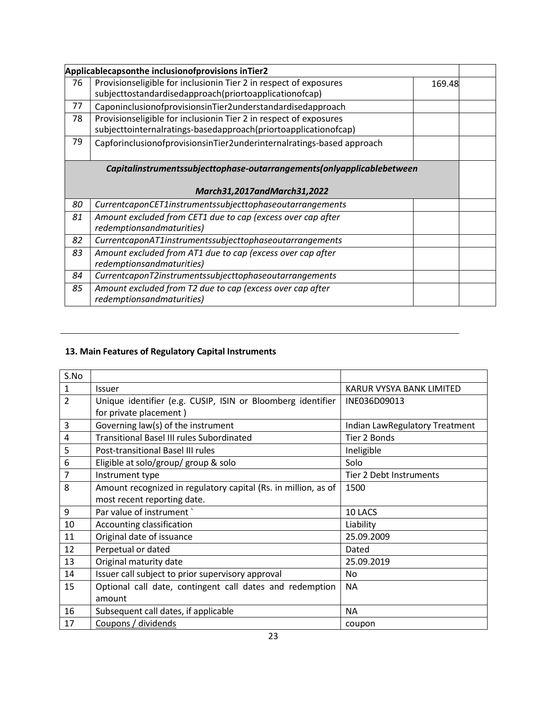| Applicablecapsonthe inclusionofprovisions inTier2                      |                                                                                                                                      |        |  |
|------------------------------------------------------------------------|--------------------------------------------------------------------------------------------------------------------------------------|--------|--|
| 76                                                                     | Provisionseligible for inclusionin Tier 2 in respect of exposures<br>subjecttostandardisedapproach(priortoapplicationofcap)          | 169.48 |  |
| 77                                                                     | CaponinclusionofprovisionsinTier2understandardisedapproach                                                                           |        |  |
| 78                                                                     | Provisionseligible for inclusionin Tier 2 in respect of exposures<br>subjecttointernalratings-basedapproach(priortoapplicationofcap) |        |  |
| 79                                                                     | CapforinclusionofprovisionsinTier2underinternalratings-based approach                                                                |        |  |
| Capitalinstrumentssubjecttophase-outarrangements(onlyapplicablebetween |                                                                                                                                      |        |  |
|                                                                        |                                                                                                                                      |        |  |
| March31,2017andMarch31,2022                                            |                                                                                                                                      |        |  |
| 80                                                                     | CurrentcaponCET1instrumentssubjecttophaseoutarrangements                                                                             |        |  |
| 81                                                                     | Amount excluded from CET1 due to cap (excess over cap after<br>redemptionsandmaturities)                                             |        |  |
| 82                                                                     | CurrentcaponAT1instrumentssubjecttophaseoutarrangements                                                                              |        |  |
| 83                                                                     | Amount excluded from AT1 due to cap (excess over cap after<br>redemptionsandmaturities)                                              |        |  |
| 84                                                                     | CurrentcaponT2instrumentssubjecttophaseoutarrangements                                                                               |        |  |
| 85                                                                     | Amount excluded from T2 due to cap (excess over cap after<br>redemptionsandmaturities)                                               |        |  |

# **13. Main Features of Regulatory Capital Instruments**

| S.No           |                                                                |                                |
|----------------|----------------------------------------------------------------|--------------------------------|
| 1              | <b>Issuer</b>                                                  | KARUR VYSYA BANK LIMITED       |
| $\overline{2}$ | Unique identifier (e.g. CUSIP, ISIN or Bloomberg identifier    | INE036D09013                   |
|                | for private placement)                                         |                                |
| 3              | Governing law(s) of the instrument                             | Indian LawRegulatory Treatment |
| 4              | <b>Transitional Basel III rules Subordinated</b>               | Tier 2 Bonds                   |
| 5              | Post-transitional Basel III rules                              | Ineligible                     |
| 6              | Eligible at solo/group/ group & solo                           | Solo                           |
| $\overline{7}$ | Instrument type                                                | Tier 2 Debt Instruments        |
| 8              | Amount recognized in regulatory capital (Rs. in million, as of | 1500                           |
|                | most recent reporting date.                                    |                                |
| 9              | Par value of instrument                                        | 10 LACS                        |
| 10             | Accounting classification                                      | Liability                      |
| 11             | Original date of issuance                                      | 25.09.2009                     |
| 12             | Perpetual or dated                                             | Dated                          |
| 13             | Original maturity date                                         | 25.09.2019                     |
| 14             | Issuer call subject to prior supervisory approval              | No                             |
| 15             | Optional call date, contingent call dates and redemption       | <b>NA</b>                      |
|                | amount                                                         |                                |
| 16             | Subsequent call dates, if applicable                           | <b>NA</b>                      |
| 17             | Coupons / dividends                                            | coupon                         |